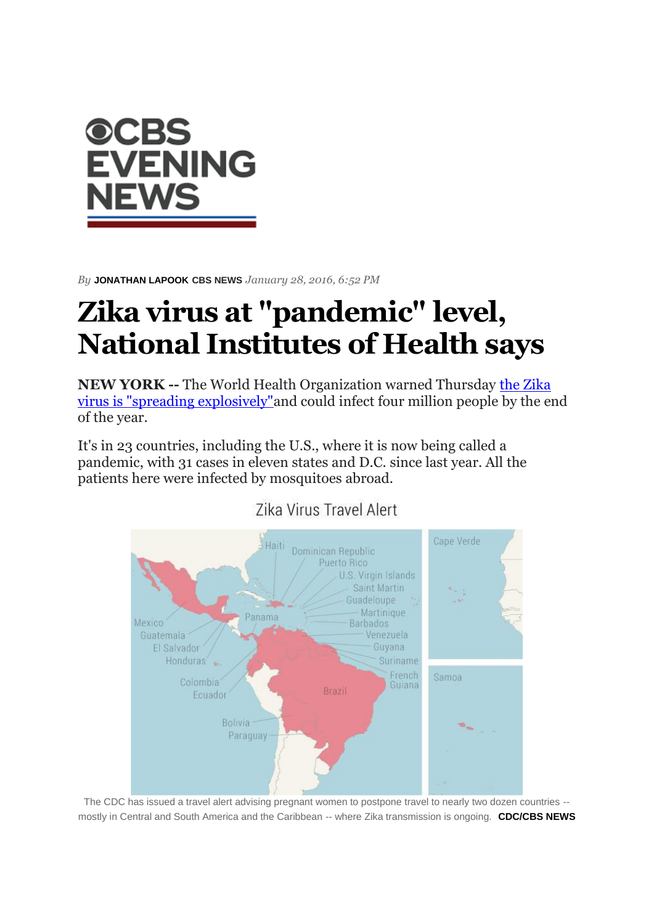

*By* **JONATHAN LAPOOK CBS NEWS** *January 28, 2016, 6:52 PM*

## **Zika virus at "pandemic" level, National Institutes of Health says**

**NEW YORK --** The World Health Organization warned Thursday [the Zika](https://www.cbsnews.com/news/zika-virus-outbreak-spreading-explosively-world-health-organization/)  [virus is "spreading explosively"a](https://www.cbsnews.com/news/zika-virus-outbreak-spreading-explosively-world-health-organization/)nd could infect four million people by the end of the year.

It's in 23 countries, including the U.S., where it is now being called a pandemic, with 31 cases in eleven states and D.C. since last year. All the patients here were infected by mosquitoes abroad.



## Zika Virus Travel Alert

The CDC has issued a travel alert advising pregnant women to postpone travel to nearly two dozen countries - mostly in Central and South America and the Caribbean -- where Zika transmission is ongoing. **CDC/CBS NEWS**